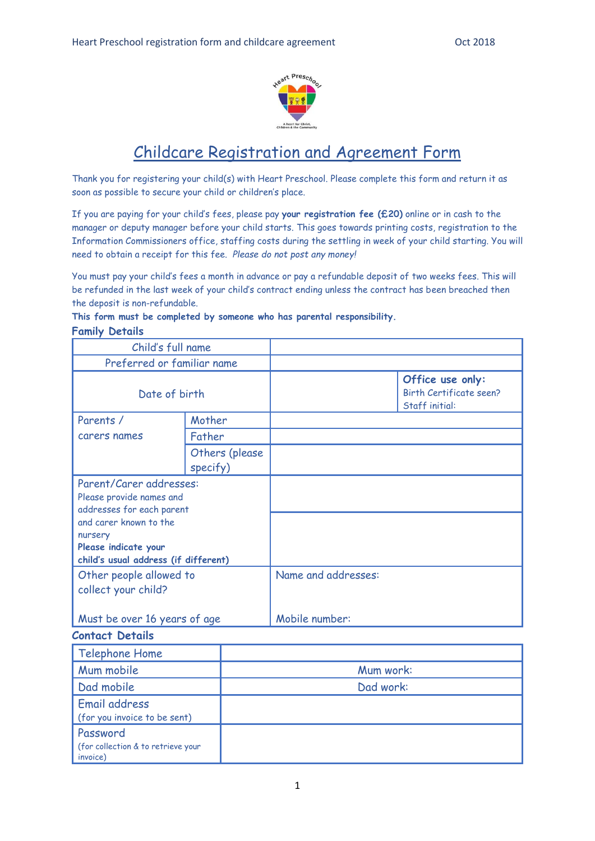

# Childcare Registration and Agreement Form

Thank you for registering your child(s) with Heart Preschool. Please complete this form and return it as soon as possible to secure your child or children's place.

If you are paying for your child's fees, please pay **your registration fee (£20)** online or in cash to the manager or deputy manager before your child starts. This goes towards printing costs, registration to the Information Commissioners office, staffing costs during the settling in week of your child starting. You will need to obtain a receipt for this fee. *Please do not post any money!*

You must pay your child's fees a month in advance or pay a refundable deposit of two weeks fees. This will be refunded in the last week of your child's contract ending unless the contract has been breached then the deposit is non-refundable.

## **This form must be completed by someone who has parental responsibility.**

### **Family Details**

| Child's full name                                    |        |                     |                                                                      |
|------------------------------------------------------|--------|---------------------|----------------------------------------------------------------------|
| Preferred or familiar name                           |        |                     |                                                                      |
| Date of birth                                        |        |                     | Office use only:<br><b>Birth Certificate seen?</b><br>Staff initial: |
| Parents /                                            | Mother |                     |                                                                      |
| carers names<br>Father<br>Others (please<br>specify) |        |                     |                                                                      |
|                                                      |        |                     |                                                                      |
| Parent/Carer addresses:                              |        |                     |                                                                      |
| Please provide names and                             |        |                     |                                                                      |
| addresses for each parent                            |        |                     |                                                                      |
| and carer known to the                               |        |                     |                                                                      |
| nursery<br>Please indicate your                      |        |                     |                                                                      |
| child's usual address (if different)                 |        |                     |                                                                      |
| Other people allowed to                              |        | Name and addresses: |                                                                      |
| collect your child?                                  |        |                     |                                                                      |
|                                                      |        |                     |                                                                      |
| Must be over 16 years of age                         |        | Mobile number:      |                                                                      |
| <b>Contact Details</b>                               |        |                     |                                                                      |
| Telephone Home                                       |        |                     |                                                                      |
| Mum mobile                                           |        | Mum work:           |                                                                      |
| Dad mobile                                           |        | Dad work:           |                                                                      |
| Email address                                        |        |                     |                                                                      |
| (for you invoice to be sent)                         |        |                     |                                                                      |
| Password                                             |        |                     |                                                                      |
| (for collection & to retrieve your<br>invoice)       |        |                     |                                                                      |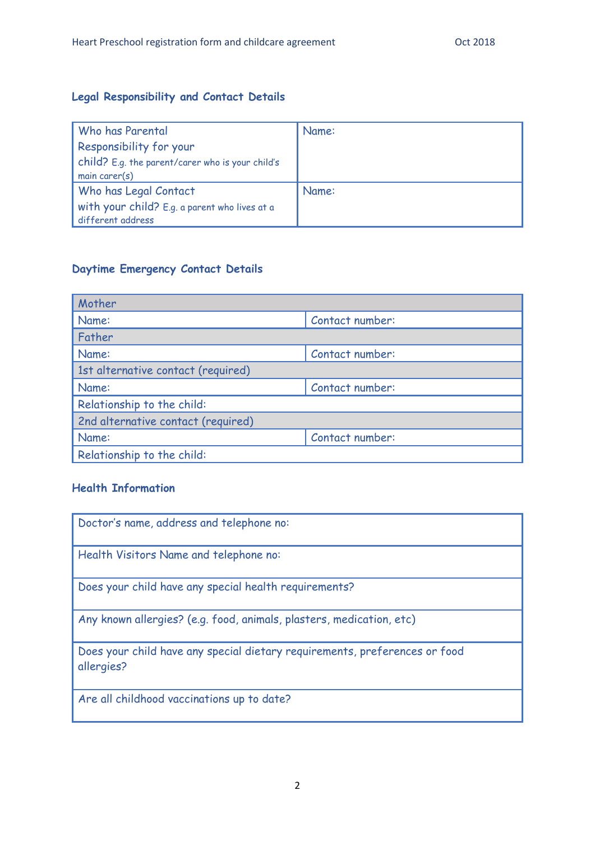### **Legal Responsibility and Contact Details**

| Who has Parental                                 | Name: |
|--------------------------------------------------|-------|
| Responsibility for your                          |       |
| child? E.g. the parent/carer who is your child's |       |
| main care $r(s)$                                 |       |
| Who has Legal Contact                            | Name: |
| with your child? E.g. a parent who lives at a    |       |
| different address                                |       |

### **Daytime Emergency Contact Details**

| Mother                             |                 |  |  |
|------------------------------------|-----------------|--|--|
| Name:                              | Contact number: |  |  |
| Father                             |                 |  |  |
| Name:<br>Contact number:           |                 |  |  |
| 1st alternative contact (required) |                 |  |  |
| Contact number:<br>Name:           |                 |  |  |
| Relationship to the child:         |                 |  |  |
| 2nd alternative contact (required) |                 |  |  |
| Name:                              | Contact number: |  |  |
| Relationship to the child:         |                 |  |  |

### **Health Information**

| Doctor's name, address and telephone no:                                                 |
|------------------------------------------------------------------------------------------|
| Health Visitors Name and telephone no:                                                   |
| Does your child have any special health requirements?                                    |
| Any known allergies? (e.g. food, animals, plasters, medication, etc)                     |
| Does your child have any special dietary requirements, preferences or food<br>allergies? |
| Are all childhood vaccinations up to date?                                               |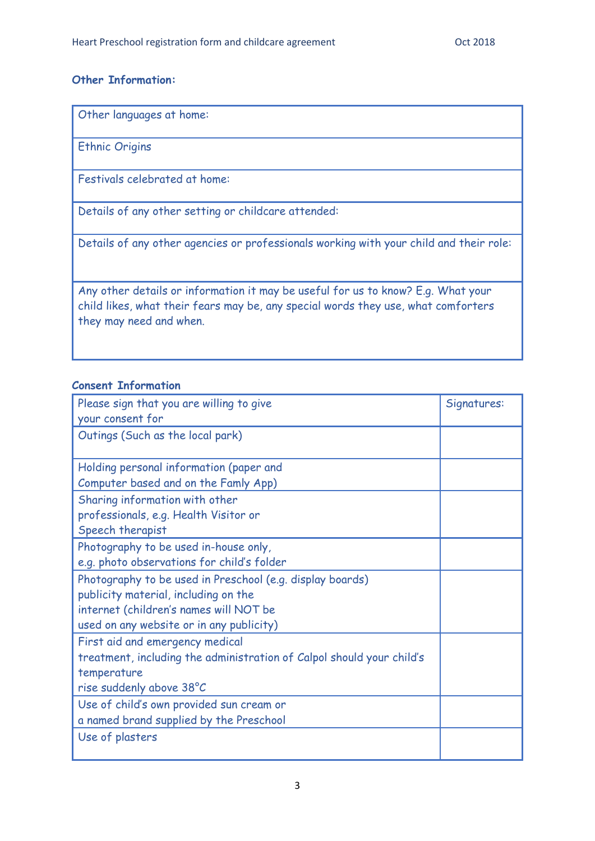### **Other Information:**

Other languages at home:

Ethnic Origins

Festivals celebrated at home:

Details of any other setting or childcare attended:

Details of any other agencies or professionals working with your child and their role:

Any other details or information it may be useful for us to know? E.g. What your child likes, what their fears may be, any special words they use, what comforters they may need and when.

### **Consent Information**

| Please sign that you are willing to give                              | Signatures: |
|-----------------------------------------------------------------------|-------------|
| your consent for                                                      |             |
| Outings (Such as the local park)                                      |             |
|                                                                       |             |
| Holding personal information (paper and                               |             |
| Computer based and on the Famly App)                                  |             |
| Sharing information with other                                        |             |
| professionals, e.g. Health Visitor or                                 |             |
| Speech therapist                                                      |             |
| Photography to be used in-house only,                                 |             |
| e.g. photo observations for child's folder                            |             |
| Photography to be used in Preschool (e.g. display boards)             |             |
| publicity material, including on the                                  |             |
| internet (children's names will NOT be                                |             |
| used on any website or in any publicity)                              |             |
| First aid and emergency medical                                       |             |
| treatment, including the administration of Calpol should your child's |             |
| temperature                                                           |             |
| rise suddenly above 38°C                                              |             |
| Use of child's own provided sun cream or                              |             |
| a named brand supplied by the Preschool                               |             |
| Use of plasters                                                       |             |
|                                                                       |             |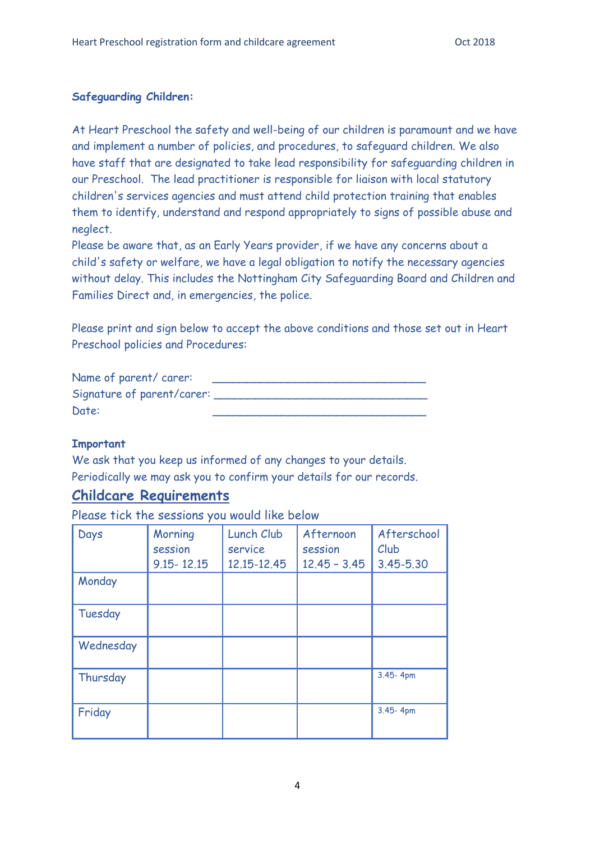#### **Safeguarding Children:**

At Heart Preschool the safety and well-being of our children is paramount and we have and implement a number of policies, and procedures, to safeguard children. We also have staff that are designated to take lead responsibility for safeguarding children in our Preschool. The lead practitioner is responsible for liaison with local statutory children's services agencies and must attend child protection training that enables them to identify, understand and respond appropriately to signs of possible abuse and neglect.

Please be aware that, as an Early Years provider, if we have any concerns about a child's safety or welfare, we have a legal obligation to notify the necessary agencies without delay. This includes the Nottingham City Safeguarding Board and Children and Families Direct and, in emergencies, the police.

Please print and sign below to accept the above conditions and those set out in Heart Preschool policies and Procedures:

| Name of parent/carer:      |  |
|----------------------------|--|
| Signature of parent/carer: |  |
| Date:                      |  |

### **Important**

We ask that you keep us informed of any changes to your details. Periodically we may ask you to confirm your details for our records.

### **Childcare Requirements**

Please tick the sessions you would like below

| Days      | Morning<br>session | Lunch Club<br>service | Afternoon<br>session | Afterschool<br>Club |
|-----------|--------------------|-----------------------|----------------------|---------------------|
|           | $9.15 - 12.15$     | 12.15-12.45           | $12.45 - 3.45$       | 3.45-5.30           |
| Monday    |                    |                       |                      |                     |
| Tuesday   |                    |                       |                      |                     |
| Wednesday |                    |                       |                      |                     |
| Thursday  |                    |                       |                      | 3.45-4pm            |
| Friday    |                    |                       |                      | 3.45-4pm            |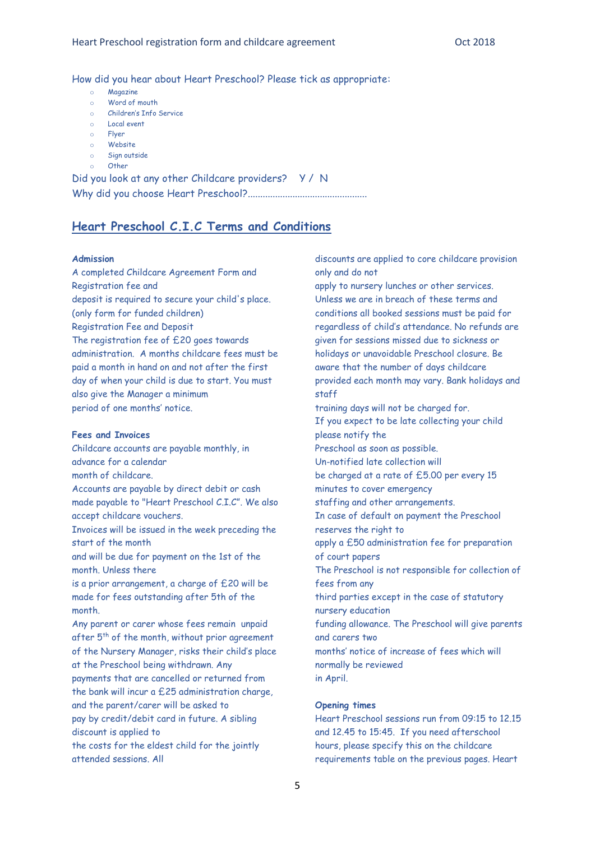How did you hear about Heart Preschool? Please tick as appropriate:

- o Magazine
- o Word of mouth
- o Children's Info Service
- o Local event
- Flyer
- Website
- o Sign outside
- $O$ ther

Did you look at any other Childcare providers? Y / N Why did you choose Heart Preschool?................................................

### **Heart Preschool C.I.C Terms and Conditions**

#### **Admission**

A completed Childcare Agreement Form and Registration fee and deposit is required to secure your child's place. (only form for funded children) Registration Fee and Deposit The registration fee of £20 goes towards administration. A months childcare fees must be paid a month in hand on and not after the first day of when your child is due to start. You must also give the Manager a minimum period of one months' notice.

#### **Fees and Invoices**

Childcare accounts are payable monthly, in advance for a calendar month of childcare. Accounts are payable by direct debit or cash made payable to "Heart Preschool C.I.C". We also accept childcare vouchers. Invoices will be issued in the week preceding the start of the month and will be due for payment on the 1st of the month. Unless there is a prior arrangement, a charge of £20 will be made for fees outstanding after 5th of the month. Any parent or carer whose fees remain unpaid after 5<sup>th</sup> of the month, without prior agreement of the Nursery Manager, risks their child's place at the Preschool being withdrawn. Any payments that are cancelled or returned from the bank will incur a £25 administration charge, and the parent/carer will be asked to pay by credit/debit card in future. A sibling discount is applied to the costs for the eldest child for the jointly attended sessions. All

discounts are applied to core childcare provision only and do not

apply to nursery lunches or other services. Unless we are in breach of these terms and conditions all booked sessions must be paid for regardless of child's attendance. No refunds are given for sessions missed due to sickness or holidays or unavoidable Preschool closure. Be aware that the number of days childcare provided each month may vary. Bank holidays and staff training days will not be charged for. If you expect to be late collecting your child please notify the Preschool as soon as possible. Un-notified late collection will be charged at a rate of £5.00 per every 15 minutes to cover emergency staffing and other arrangements. In case of default on payment the Preschool

reserves the right to

apply a £50 administration fee for preparation of court papers

The Preschool is not responsible for collection of fees from any

third parties except in the case of statutory nursery education

funding allowance. The Preschool will give parents and carers two

months' notice of increase of fees which will normally be reviewed in April.

#### **Opening times**

Heart Preschool sessions run from 09:15 to 12.15 and 12.45 to 15:45. If you need afterschool hours, please specify this on the childcare requirements table on the previous pages. Heart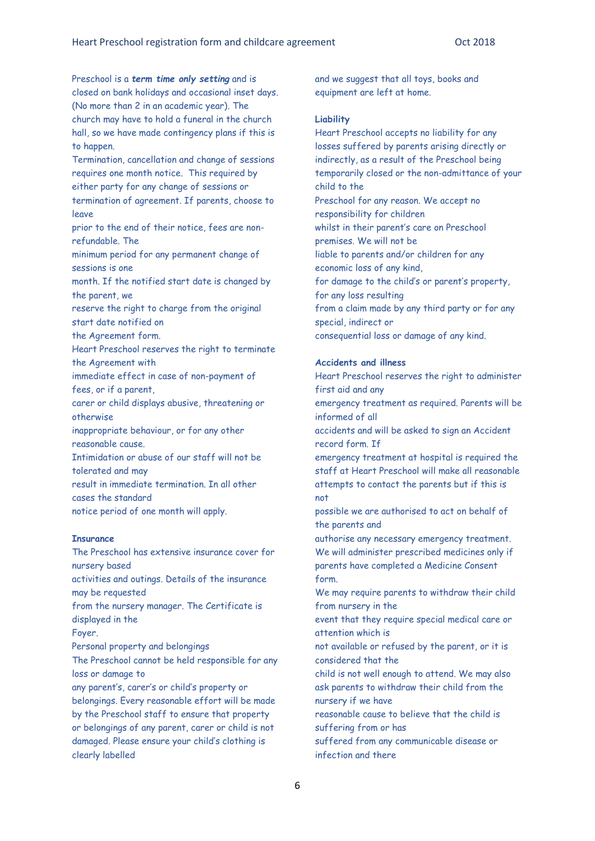Preschool is a *term time only setting* and is closed on bank holidays and occasional inset days. (No more than 2 in an academic year). The church may have to hold a funeral in the church hall, so we have made contingency plans if this is to happen.

Termination, cancellation and change of sessions requires one month notice. This required by either party for any change of sessions or termination of agreement. If parents, choose to leave

prior to the end of their notice, fees are nonrefundable. The

minimum period for any permanent change of sessions is one

month. If the notified start date is changed by the parent, we

reserve the right to charge from the original start date notified on

the Agreement form.

Heart Preschool reserves the right to terminate the Agreement with

immediate effect in case of non-payment of fees, or if a parent,

carer or child displays abusive, threatening or otherwise

inappropriate behaviour, or for any other reasonable cause.

Intimidation or abuse of our staff will not be tolerated and may

result in immediate termination. In all other cases the standard

notice period of one month will apply.

#### **Insurance**

The Preschool has extensive insurance cover for nursery based activities and outings. Details of the insurance may be requested from the nursery manager. The Certificate is displayed in the Foyer. Personal property and belongings The Preschool cannot be held responsible for any loss or damage to any parent's, carer's or child's property or belongings. Every reasonable effort will be made by the Preschool staff to ensure that property or belongings of any parent, carer or child is not damaged. Please ensure your child's clothing is clearly labelled

and we suggest that all toys, books and equipment are left at home.

#### **Liability**

Heart Preschool accepts no liability for any losses suffered by parents arising directly or indirectly, as a result of the Preschool being temporarily closed or the non-admittance of your child to the Preschool for any reason. We accept no responsibility for children whilst in their parent's care on Preschool premises. We will not be liable to parents and/or children for any economic loss of any kind, for damage to the child's or parent's property, for any loss resulting from a claim made by any third party or for any special, indirect or consequential loss or damage of any kind.

#### **Accidents and illness**

Heart Preschool reserves the right to administer first aid and any

emergency treatment as required. Parents will be informed of all

accidents and will be asked to sign an Accident record form. If

emergency treatment at hospital is required the staff at Heart Preschool will make all reasonable attempts to contact the parents but if this is not

possible we are authorised to act on behalf of the parents and

authorise any necessary emergency treatment. We will administer prescribed medicines only if parents have completed a Medicine Consent form.

We may require parents to withdraw their child from nursery in the

event that they require special medical care or attention which is

not available or refused by the parent, or it is considered that the

child is not well enough to attend. We may also ask parents to withdraw their child from the nursery if we have

reasonable cause to believe that the child is suffering from or has

suffered from any communicable disease or infection and there